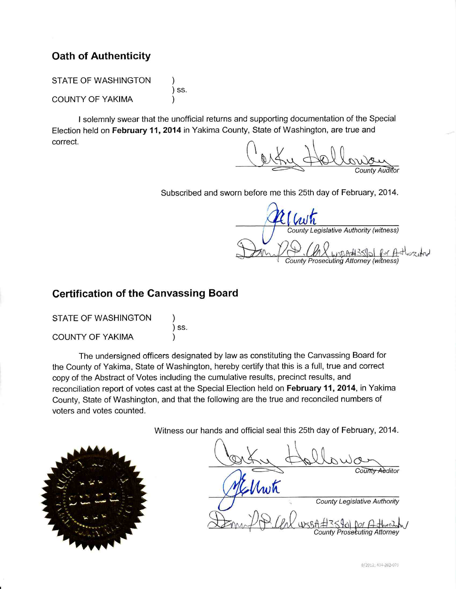# **Oath of Authenticity**

**STATE OF WASHINGTON** ) SS. **COUNTY OF YAKIMA** 

I solemnly swear that the unofficial returns and supporting documentation of the Special Election held on February 11, 2014 in Yakima County, State of Washington, are true and correct.

Auditor

Subscribed and sworn before me this 25th day of February, 2014.

**County Legislative Authority (witness) County Prosecuting Attorney (witness** 

# **Certification of the Canvassing Board**

| <b>STATE OF WASHINGTON</b> |                             |
|----------------------------|-----------------------------|
|                            | $\overline{\phantom{a}}$ SS |
| <b>COUNTY OF YAKIMA</b>    |                             |

The undersigned officers designated by law as constituting the Canvassing Board for the County of Yakima, State of Washington, hereby certify that this is a full, true and correct copy of the Abstract of Votes including the cumulative results, precinct results, and reconciliation report of votes cast at the Special Election held on February 11, 2014, in Yakima County, State of Washington, and that the following are the true and reconciled numbers of voters and votes counted.

Witness our hands and official seal this 25th day of February, 2014.



County Additor CMwh **County Legislative Authority County Prosecuting Attorney**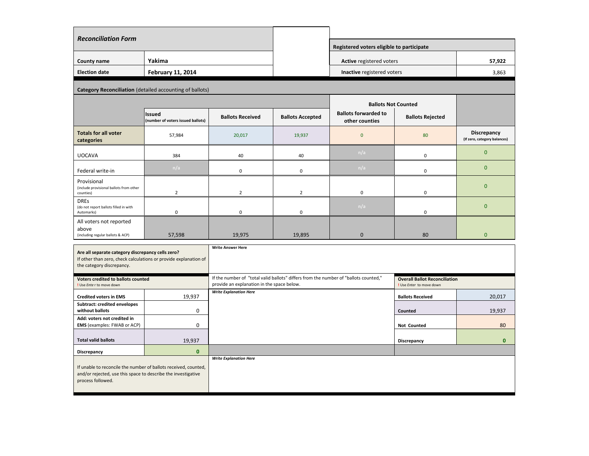| <b>Reconciliation Form</b>                                            |                                                    |                         |                         |                                               |                         |                                                    |
|-----------------------------------------------------------------------|----------------------------------------------------|-------------------------|-------------------------|-----------------------------------------------|-------------------------|----------------------------------------------------|
|                                                                       |                                                    |                         |                         | Registered voters eligible to participate     |                         |                                                    |
| <b>County name</b>                                                    | Yakima                                             |                         |                         | <b>Active registered voters</b>               |                         | 57,922                                             |
| <b>Election date</b>                                                  | <b>February 11, 2014</b>                           |                         |                         | Inactive registered voters                    |                         | 3,863                                              |
| <b>Category Reconciliation (detailed accounting of ballots)</b>       |                                                    |                         |                         |                                               |                         |                                                    |
|                                                                       |                                                    |                         |                         | <b>Ballots Not Counted</b>                    |                         |                                                    |
|                                                                       | <b>Issued</b><br>(number of voters issued ballots) | <b>Ballots Received</b> | <b>Ballots Accepted</b> | <b>Ballots forwarded to</b><br>other counties | <b>Ballots Rejected</b> |                                                    |
| <b>Totals for all voter</b><br>categories                             | 57,984                                             | 20,017                  | 19,937                  | $\overline{0}$                                | 80                      | <b>Discrepancy</b><br>(If zero, category balances) |
| <b>UOCAVA</b>                                                         | 384                                                | 40                      | 40                      | n/a                                           | $\mathbf 0$             | $\overline{0}$                                     |
| Federal write-in                                                      | n/a                                                | $\mathbf 0$             | 0                       | n/a                                           | $\mathbf 0$             | $\overline{0}$                                     |
| Provisional<br>(include provisional ballots from other<br>counties)   | $\overline{2}$                                     | $\overline{2}$          | $\overline{2}$          | $\overline{0}$                                | $\boldsymbol{0}$        | $\overline{0}$                                     |
| <b>DREs</b><br>(do not report ballots filled in with<br>Automarks)    | $\mathbf 0$                                        | $\mathbf 0$             | $\mathbf 0$             | n/a                                           | $\mathbf 0$             | $\overline{0}$                                     |
| All voters not reported<br>above<br>(including regular ballots & ACP) | 57,598                                             | 19,975                  | 19,895                  | $\overline{0}$                                | 80                      | $\mathbf{0}$                                       |

| <b>Reconciliation Form</b> |                          |  |
|----------------------------|--------------------------|--|
| <b>County name</b>         | Yakima                   |  |
| <b>Election date</b>       | <b>February 11, 2014</b> |  |

| Are all separate category discrepancy cells zero?<br>If other than zero, check calculations or provide explanation of<br>the category discrepancy.    |                | <b>Write Answer Here</b>                                                                                                           |                                                                  |          |
|-------------------------------------------------------------------------------------------------------------------------------------------------------|----------------|------------------------------------------------------------------------------------------------------------------------------------|------------------------------------------------------------------|----------|
| <b>Voters credited to ballots counted</b><br>! Use Enter to move down                                                                                 |                | If the number of "total valid ballots" differs from the number of "ballots counted,"<br>provide an explanation in the space below. | <b>Overall Ballot Reconciliation</b><br>! Use Enter to move down |          |
| <b>Credited voters in EMS</b>                                                                                                                         | 19,937         | <b>Write Explanation Here</b>                                                                                                      | <b>Ballots Received</b>                                          | 20,017   |
| <b>Subtract: credited envelopes</b><br>without ballots                                                                                                | $\overline{0}$ |                                                                                                                                    | <b>Counted</b>                                                   | 19,937   |
| Add: voters not credited in<br><b>EMS</b> (examples: FWAB or ACP)                                                                                     | $\overline{0}$ |                                                                                                                                    | <b>Not Counted</b>                                               | 80       |
| <b>Total valid ballots</b>                                                                                                                            | 19,937         |                                                                                                                                    | <b>Discrepancy</b>                                               | $\bf{0}$ |
| <b>Discrepancy</b>                                                                                                                                    | $\mathbf{0}$   |                                                                                                                                    |                                                                  |          |
| If unable to reconcile the number of ballots received, counted,<br>and/or rejected, use this space to describe the investigative<br>process followed. |                | <b>Write Explanation Here</b>                                                                                                      |                                                                  |          |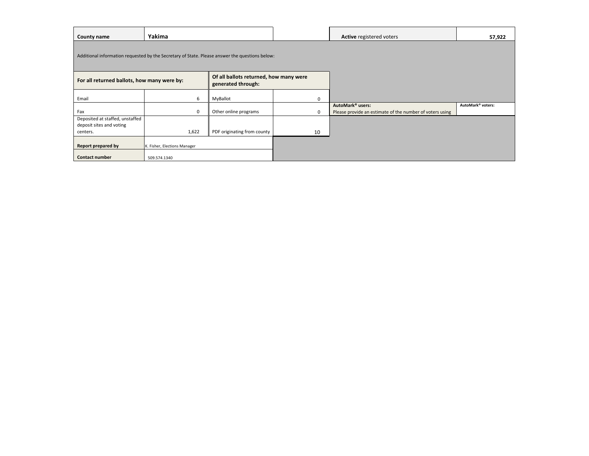**Report prepared by**

**Contact number**

| <b>County name</b>                                                                             | Yakima         |                                                              |                  | <b>Active registered voters</b>                          | 57,922                        |
|------------------------------------------------------------------------------------------------|----------------|--------------------------------------------------------------|------------------|----------------------------------------------------------|-------------------------------|
| Additional information requested by the Secretary of State. Please answer the questions below: |                |                                                              |                  |                                                          |                               |
| For all returned ballots, how many were by:                                                    |                | Of all ballots returned, how many were<br>generated through: |                  |                                                          |                               |
| Email                                                                                          | 6              | MyBallot                                                     | $\boldsymbol{0}$ |                                                          |                               |
|                                                                                                |                |                                                              |                  | AutoMark <sup>®</sup> users:                             | AutoMark <sup>®</sup> voters: |
| Fax                                                                                            | $\overline{0}$ | Other online programs                                        | $\mathbf 0$      | Please provide an estimate of the number of voters using |                               |
| Deposited at staffed, unstaffed                                                                |                |                                                              |                  |                                                          |                               |
| deposit sites and voting                                                                       |                |                                                              |                  |                                                          |                               |
| centers.                                                                                       | 1,622          | PDF originating from county                                  | 10               |                                                          |                               |

| Active registered voters                                 | 57,922                        |
|----------------------------------------------------------|-------------------------------|
|                                                          |                               |
|                                                          |                               |
|                                                          |                               |
|                                                          |                               |
|                                                          |                               |
| AutoMark <sup>®</sup> users:                             | AutoMark <sup>®</sup> voters: |
| Please provide an estimate of the number of voters using |                               |
|                                                          |                               |
|                                                          |                               |
|                                                          |                               |
|                                                          |                               |

509.574.1340

K. Fisher, Elections Manager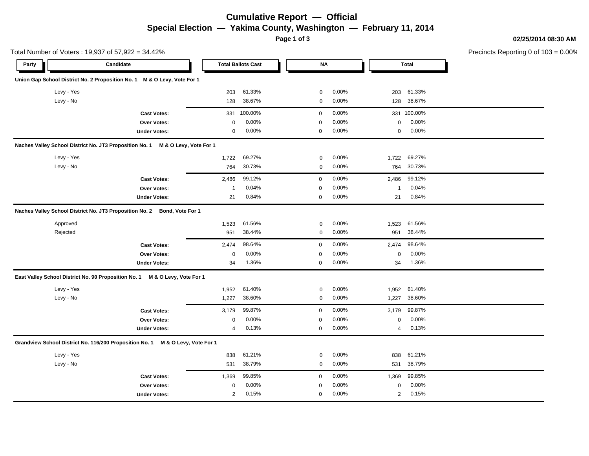# **Cumulative Report — Official Special Election — Yakima County, Washington — February 11, 2014**

**Page 1 of 3**

**02/25/2014 08:30 AM**

Precincts Reporting 0 of 103 = 0.00%

|            | Total Number of Voters: 19,937 of 57,922 = 34.42%                              |                |                           |             |       |                |              | Precincts Reporting 0 of 1 |
|------------|--------------------------------------------------------------------------------|----------------|---------------------------|-------------|-------|----------------|--------------|----------------------------|
| Party      | Candidate                                                                      |                | <b>Total Ballots Cast</b> | NA          |       |                | <b>Total</b> |                            |
|            | Union Gap School District No. 2 Proposition No. 1 M & O Levy, Vote For 1       |                |                           |             |       |                |              |                            |
| Levy - Yes |                                                                                | 203            | 61.33%                    | 0           | 0.00% | 203            | 61.33%       |                            |
| Levy - No  |                                                                                | 128            | 38.67%                    | 0           | 0.00% | 128            | 38.67%       |                            |
|            | <b>Cast Votes:</b>                                                             | 331            | 100.00%                   | $\mathbf 0$ | 0.00% |                | 331 100.00%  |                            |
|            | Over Votes:                                                                    | 0              | 0.00%                     | $\mathbf 0$ | 0.00% | 0              | 0.00%        |                            |
|            | <b>Under Votes:</b>                                                            | $\mathbf 0$    | 0.00%                     | $\mathbf 0$ | 0.00% | 0              | 0.00%        |                            |
|            | Naches Valley School District No. JT3 Proposition No. 1 M & O Levy, Vote For 1 |                |                           |             |       |                |              |                            |
| Levy - Yes |                                                                                | 1,722          | 69.27%                    | 0           | 0.00% | 1,722          | 69.27%       |                            |
| Levy - No  |                                                                                | 764            | 30.73%                    | 0           | 0.00% | 764            | 30.73%       |                            |
|            | <b>Cast Votes:</b>                                                             | 2,486          | 99.12%                    | $\mathbf 0$ | 0.00% | 2,486          | 99.12%       |                            |
|            | Over Votes:                                                                    | $\overline{1}$ | 0.04%                     | $\mathbf 0$ | 0.00% | $\mathbf{1}$   | 0.04%        |                            |
|            | <b>Under Votes:</b>                                                            | 21             | 0.84%                     | $\mathbf 0$ | 0.00% | 21             | 0.84%        |                            |
|            | Naches Valley School District No. JT3 Proposition No. 2 Bond, Vote For 1       |                |                           |             |       |                |              |                            |
| Approved   |                                                                                | 1,523          | 61.56%                    | 0           | 0.00% | 1,523          | 61.56%       |                            |
| Rejected   |                                                                                | 951            | 38.44%                    | 0           | 0.00% | 951            | 38.44%       |                            |
|            | <b>Cast Votes:</b>                                                             | 2,474          | 98.64%                    | $\mathbf 0$ | 0.00% | 2,474          | 98.64%       |                            |
|            | Over Votes:                                                                    | $\Omega$       | 0.00%                     | $\mathbf 0$ | 0.00% | $\Omega$       | 0.00%        |                            |
|            | <b>Under Votes:</b>                                                            | 34             | 1.36%                     | $\mathbf 0$ | 0.00% | 34             | 1.36%        |                            |
|            | East Valley School District No. 90 Proposition No. 1 M & O Levy, Vote For 1    |                |                           |             |       |                |              |                            |
| Levy - Yes |                                                                                | 1,952          | 61.40%                    | 0           | 0.00% | 1,952          | 61.40%       |                            |
| Levy - No  |                                                                                | 1,227          | 38.60%                    | 0           | 0.00% | 1,227          | 38.60%       |                            |
|            | <b>Cast Votes:</b>                                                             | 3,179          | 99.87%                    | $\mathbf 0$ | 0.00% | 3,179          | 99.87%       |                            |
|            | Over Votes:                                                                    | $\mathbf 0$    | 0.00%                     | $\mathbf 0$ | 0.00% | 0              | 0.00%        |                            |
|            | <b>Under Votes:</b>                                                            | 4              | 0.13%                     | $\mathbf 0$ | 0.00% | 4              | 0.13%        |                            |
|            | Grandview School District No. 116/200 Proposition No. 1 M & O Levy, Vote For 1 |                |                           |             |       |                |              |                            |
| Levy - Yes |                                                                                | 838            | 61.21%                    | 0           | 0.00% | 838            | 61.21%       |                            |
| Levy - No  |                                                                                | 531            | 38.79%                    | 0           | 0.00% | 531            | 38.79%       |                            |
|            | <b>Cast Votes:</b>                                                             | 1,369          | 99.85%                    | $\mathbf 0$ | 0.00% | 1,369          | 99.85%       |                            |
|            | Over Votes:                                                                    | 0              | 0.00%                     | $\mathbf 0$ | 0.00% | 0              | 0.00%        |                            |
|            | <b>Under Votes:</b>                                                            | 2              | 0.15%                     | $\mathbf 0$ | 0.00% | $\overline{2}$ | 0.15%        |                            |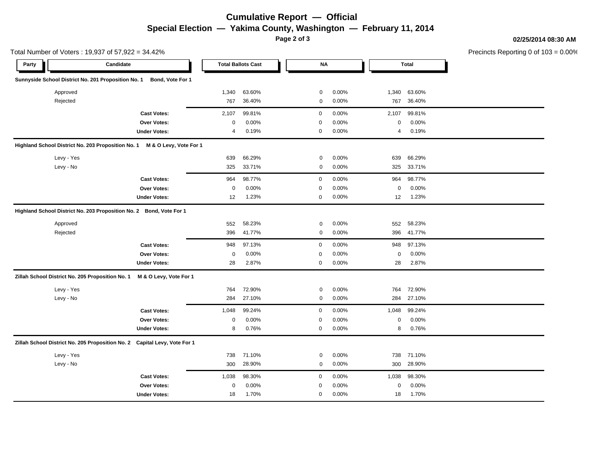# **Cumulative Report — Official Special Election — Yakima County, Washington — February 11, 2014**

**Page 2 of 3**

Total Number of Voters : 19,937 of 57,922 = 34.42%

#### **02/25/2014 08:30 AM**

Precincts Reporting 0 of 103 = 0.00%

| Candidate<br>Party                                                        |                        |             | <b>Total Ballots Cast</b> | <b>NA</b>   |       |       | <b>Total</b> |  |
|---------------------------------------------------------------------------|------------------------|-------------|---------------------------|-------------|-------|-------|--------------|--|
| Sunnyside School District No. 201 Proposition No. 1                       | Bond, Vote For 1       |             |                           |             |       |       |              |  |
| Approved                                                                  |                        | 1,340       | 63.60%                    | 0           | 0.00% | 1,340 | 63.60%       |  |
| Rejected                                                                  |                        | 767         | 36.40%                    | 0           | 0.00% | 767   | 36.40%       |  |
|                                                                           | <b>Cast Votes:</b>     | 2,107       | 99.81%                    | $\mathbf 0$ | 0.00% | 2,107 | 99.81%       |  |
|                                                                           | Over Votes:            | $\mathsf 0$ | 0.00%                     | $\mathbf 0$ | 0.00% | 0     | 0.00%        |  |
|                                                                           | <b>Under Votes:</b>    | 4           | 0.19%                     | $\mathbf 0$ | 0.00% | 4     | 0.19%        |  |
| Highland School District No. 203 Proposition No. 1                        | M & O Levy, Vote For 1 |             |                           |             |       |       |              |  |
| Levy - Yes                                                                |                        | 639         | 66.29%                    | 0           | 0.00% | 639   | 66.29%       |  |
| Levy - No                                                                 |                        | 325         | 33.71%                    | 0           | 0.00% | 325   | 33.71%       |  |
|                                                                           | <b>Cast Votes:</b>     | 964         | 98.77%                    | $\mathbf 0$ | 0.00% | 964   | 98.77%       |  |
|                                                                           | Over Votes:            | $\mathsf 0$ | 0.00%                     | $\mathbf 0$ | 0.00% | 0     | 0.00%        |  |
|                                                                           | <b>Under Votes:</b>    | 12          | 1.23%                     | $\mathbf 0$ | 0.00% | 12    | 1.23%        |  |
| Highland School District No. 203 Proposition No. 2 Bond, Vote For 1       |                        |             |                           |             |       |       |              |  |
| Approved                                                                  |                        | 552         | 58.23%                    | 0           | 0.00% | 552   | 58.23%       |  |
| Rejected                                                                  |                        | 396         | 41.77%                    | 0           | 0.00% | 396   | 41.77%       |  |
|                                                                           | <b>Cast Votes:</b>     | 948         | 97.13%                    | $\mathbf 0$ | 0.00% | 948   | 97.13%       |  |
|                                                                           | <b>Over Votes:</b>     | 0           | 0.00%                     | $\mathbf 0$ | 0.00% | 0     | 0.00%        |  |
|                                                                           | <b>Under Votes:</b>    | 28          | 2.87%                     | $\mathbf 0$ | 0.00% | 28    | 2.87%        |  |
| Zillah School District No. 205 Proposition No. 1                          | M & O Levy, Vote For 1 |             |                           |             |       |       |              |  |
| Levy - Yes                                                                |                        | 764         | 72.90%                    | 0           | 0.00% | 764   | 72.90%       |  |
| Levy - No                                                                 |                        | 284         | 27.10%                    | 0           | 0.00% | 284   | 27.10%       |  |
|                                                                           | <b>Cast Votes:</b>     | 1,048       | 99.24%                    | $\mathbf 0$ | 0.00% | 1,048 | 99.24%       |  |
|                                                                           | <b>Over Votes:</b>     | $\pmb{0}$   | 0.00%                     | $\pmb{0}$   | 0.00% | 0     | 0.00%        |  |
|                                                                           | <b>Under Votes:</b>    | 8           | 0.76%                     | $\mathbf 0$ | 0.00% | 8     | 0.76%        |  |
| Zillah School District No. 205 Proposition No. 2 Capital Levy, Vote For 1 |                        |             |                           |             |       |       |              |  |
| Levy - Yes                                                                |                        | 738         | 71.10%                    | 0           | 0.00% | 738   | 71.10%       |  |
| Levy - No                                                                 |                        | 300         | 28.90%                    | 0           | 0.00% | 300   | 28.90%       |  |
|                                                                           | <b>Cast Votes:</b>     | 1,038       | 98.30%                    | $\mathbf 0$ | 0.00% | 1,038 | 98.30%       |  |
|                                                                           | <b>Over Votes:</b>     | $\mathbf 0$ | 0.00%                     | 0           | 0.00% | 0     | 0.00%        |  |
|                                                                           | <b>Under Votes:</b>    | 18          | 1.70%                     | 0           | 0.00% | 18    | 1.70%        |  |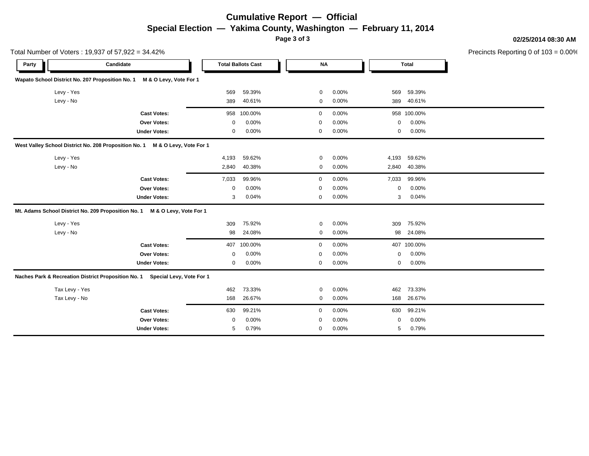# **Cumulative Report — Official Special Election — Yakima County, Washington — February 11, 2014**

**Page 3 of 3**

**02/25/2014 08:30 AM**

Precincts Reporting 0 of 103 = 0.00%

|                | Total Number of Voters: 19,937 of 57,922 = 34.42%                               |             |                           |             |       |       |              | Precincts Reporting 0 of 1 |
|----------------|---------------------------------------------------------------------------------|-------------|---------------------------|-------------|-------|-------|--------------|----------------------------|
| Party          | Candidate                                                                       |             | <b>Total Ballots Cast</b> | <b>NA</b>   |       |       | <b>Total</b> |                            |
|                | Wapato School District No. 207 Proposition No. 1<br>M & O Levy, Vote For 1      |             |                           |             |       |       |              |                            |
| Levy - Yes     |                                                                                 | 569         | 59.39%                    | 0           | 0.00% | 569   | 59.39%       |                            |
| Levy - No      |                                                                                 | 389         | 40.61%                    | $\mathbf 0$ | 0.00% | 389   | 40.61%       |                            |
|                | <b>Cast Votes:</b>                                                              |             | 958 100.00%               | 0           | 0.00% |       | 958 100.00%  |                            |
|                | <b>Over Votes:</b>                                                              | $\Omega$    | 0.00%                     | $\mathbf 0$ | 0.00% | 0     | 0.00%        |                            |
|                | <b>Under Votes:</b>                                                             | $\mathbf 0$ | 0.00%                     | $\mathbf 0$ | 0.00% | 0     | 0.00%        |                            |
|                | West Valley School District No. 208 Proposition No. 1<br>M & O Levy, Vote For 1 |             |                           |             |       |       |              |                            |
| Levy - Yes     |                                                                                 | 4,193       | 59.62%                    | $\mathbf 0$ | 0.00% | 4,193 | 59.62%       |                            |
| Levy - No      |                                                                                 | 2,840       | 40.38%                    | $\mathbf 0$ | 0.00% | 2,840 | 40.38%       |                            |
|                | <b>Cast Votes:</b>                                                              | 7,033       | 99.96%                    | 0           | 0.00% | 7,033 | 99.96%       |                            |
|                | Over Votes:                                                                     | $\mathbf 0$ | 0.00%                     | 0           | 0.00% | 0     | 0.00%        |                            |
|                | <b>Under Votes:</b>                                                             | 3           | 0.04%                     | $\mathbf 0$ | 0.00% | 3     | 0.04%        |                            |
|                | Mt. Adams School District No. 209 Proposition No. 1<br>M & O Levy, Vote For 1   |             |                           |             |       |       |              |                            |
| Levy - Yes     |                                                                                 | 309         | 75.92%                    | 0           | 0.00% | 309   | 75.92%       |                            |
| Levy - No      |                                                                                 | 98          | 24.08%                    | 0           | 0.00% | 98    | 24.08%       |                            |
|                | <b>Cast Votes:</b>                                                              | 407         | 100.00%                   | 0           | 0.00% |       | 407 100.00%  |                            |
|                | <b>Over Votes:</b>                                                              | $\Omega$    | 0.00%                     | $\mathbf 0$ | 0.00% | 0     | 0.00%        |                            |
|                | <b>Under Votes:</b>                                                             | 0           | 0.00%                     | 0           | 0.00% | 0     | 0.00%        |                            |
|                | Naches Park & Recreation District Proposition No. 1<br>Special Levy, Vote For 1 |             |                           |             |       |       |              |                            |
| Tax Levy - Yes |                                                                                 | 462         | 73.33%                    | $\mathbf 0$ | 0.00% | 462   | 73.33%       |                            |
| Tax Levy - No  |                                                                                 | 168         | 26.67%                    | 0           | 0.00% | 168   | 26.67%       |                            |
|                | <b>Cast Votes:</b>                                                              | 630         | 99.21%                    | $\mathbf 0$ | 0.00% | 630   | 99.21%       |                            |
|                | Over Votes:                                                                     | 0           | 0.00%                     | 0           | 0.00% | 0     | 0.00%        |                            |
|                | <b>Under Votes:</b>                                                             | 5           | 0.79%                     | 0           | 0.00% | 5     | 0.79%        |                            |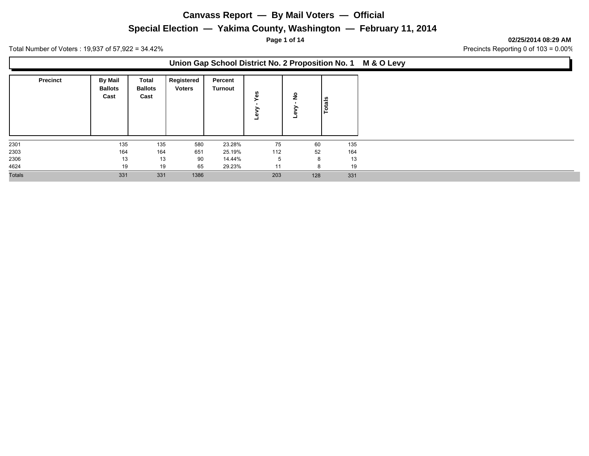## **Special Election — Yakima County, Washington — February 11, 2014**

**Page 1 of 14 02/25/2014 08:29 AM**

Total Number of Voters : 19,937 of 57,922 = 34.42% 2010 34.42% Precincts Reporting 0 of 103 = 0.00%

#### **Union Gap School District No. 2 Proposition No. 1 M & O Levy**

| <b>Precinct</b> | <b>By Mail</b><br><b>Ballots</b><br>Cast | Total<br><b>Ballots</b><br>Cast | Registered<br><b>Voters</b> | Percent<br>Turnout | őθ<br>Φ<br>− | ≗   | tals<br>$\circ$ |
|-----------------|------------------------------------------|---------------------------------|-----------------------------|--------------------|--------------|-----|-----------------|
| 2301            | 135                                      | 135                             | 580                         | 23.28%             | 75           | 60  | 135             |
| 2303            | 164                                      | 164                             | 651                         | 25.19%             | 112          | 52  | 164             |
| 2306            | 13                                       | 13                              | 90                          | 14.44%             | ь            | 8   | 13              |
| 4624            | 19                                       | 19                              | 65                          | 29.23%             | 11           | 8   | 19              |
| <b>Totals</b>   | 331                                      | 331                             | 1386                        |                    | 203          | 128 | 331             |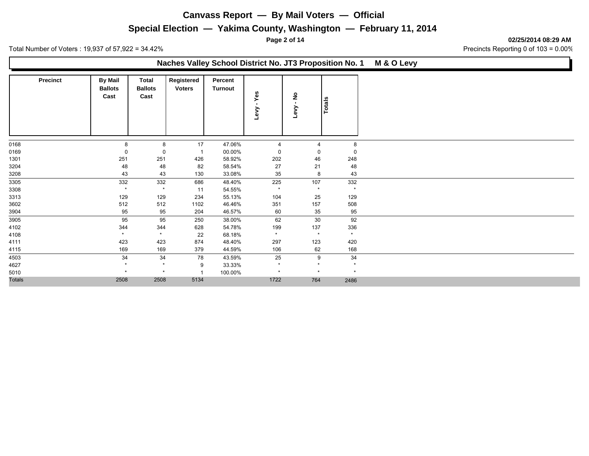## **Special Election — Yakima County, Washington — February 11, 2014**

**Page 2 of 14 02/25/2014 08:29 AM**

Total Number of Voters : 19,937 of 57,922 = 34.42% 2010 34.42% Precincts Reporting 0 of 103 = 0.00%

#### **Naches Valley School District No. JT3 Proposition No. 1 M & O Levy**

|               | <b>Precinct</b> | <b>By Mail</b><br><b>Ballots</b><br>Cast | Total<br><b>Ballots</b><br>Cast | Registered<br><b>Voters</b> | Percent<br><b>Turnout</b> | $-Yes$<br>Levy | $\hat{\mathsf z}$<br>Levy | <b>Totals</b> |
|---------------|-----------------|------------------------------------------|---------------------------------|-----------------------------|---------------------------|----------------|---------------------------|---------------|
|               |                 |                                          |                                 |                             |                           |                |                           |               |
| 0168          |                 | 8                                        | 8                               | 17                          | 47.06%                    | $\overline{4}$ | $\overline{4}$            | 8             |
| 0169          |                 | 0                                        | 0                               | -1                          | 00.00%                    | 0              | 0                         | $\mathbf 0$   |
| 1301          |                 | 251                                      | 251                             | 426                         | 58.92%                    | 202            | 46                        | 248           |
| 3204          |                 | 48                                       | 48                              | 82                          | 58.54%                    | 27             | 21                        | 48            |
| 3208          |                 | 43                                       | 43                              | 130                         | 33.08%                    | 35             | 8                         | 43            |
| 3305          |                 | 332                                      | 332                             | 686                         | 48.40%                    | 225            | 107                       | 332           |
| 3308          |                 | $\star$                                  | $\star$                         | 11                          | 54.55%                    | $\star$        | $\star$                   | $\star$       |
| 3313          |                 | 129                                      | 129                             | 234                         | 55.13%                    | 104            | 25                        | 129           |
| 3602          |                 | 512                                      | 512                             | 1102                        | 46.46%                    | 351            | 157                       | 508           |
| 3904          |                 | 95                                       | 95                              | 204                         | 46.57%                    | 60             | 35                        | 95            |
| 3905          |                 | 95                                       | 95                              | 250                         | 38.00%                    | 62             | 30                        | 92            |
| 4102          |                 | 344                                      | 344                             | 628                         | 54.78%                    | 199            | 137                       | 336           |
| 4108          |                 | $\star$                                  | $\star$                         | 22                          | 68.18%                    | $\star$        | $\star$                   | $\star$       |
| 4111          |                 | 423                                      | 423                             | 874                         | 48.40%                    | 297            | 123                       | 420           |
| 4115          |                 | 169                                      | 169                             | 379                         | 44.59%                    | 106            | 62                        | 168           |
| 4503          |                 | 34                                       | 34                              | 78                          | 43.59%                    | 25             | 9                         | 34            |
| 4627          |                 | $\star$                                  | $\star$                         | 9                           | 33.33%                    | $\star$        | $\star$                   | $\star$       |
| 5010          |                 | $\star$                                  | $\star$                         |                             | 100.00%                   | $\star$        | $\star$                   | $\star$       |
| <b>Totals</b> |                 | 2508                                     | 2508                            | 5134                        |                           | 1722           | 764                       | 2486          |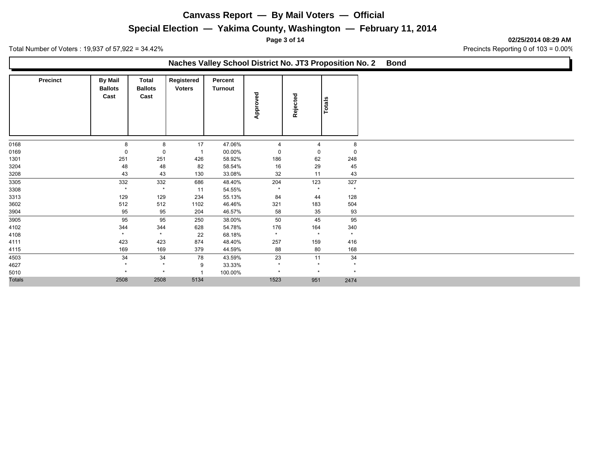## **Special Election — Yakima County, Washington — February 11, 2014**

**Page 3 of 14 02/25/2014 08:29 AM**

Total Number of Voters : 19,937 of 57,922 = 34.42% 2010 34.42% Precincts Reporting 0 of 103 = 0.00%

### **Naches Valley School District No. JT3 Proposition No. 2 Bond**

|               | <b>Precinct</b> | <b>By Mail</b><br><b>Ballots</b><br>Cast | Total<br><b>Ballots</b><br>Cast | Registered<br><b>Voters</b> | Percent<br>Turnout | Approved              | Rejected       | Totals      |
|---------------|-----------------|------------------------------------------|---------------------------------|-----------------------------|--------------------|-----------------------|----------------|-------------|
| 0168          |                 | 8                                        | 8                               | 17                          | 47.06%             | $\boldsymbol{\Delta}$ | $\overline{4}$ | 8           |
| 0169          |                 | 0                                        | 0                               | -1                          | 00.00%             | 0                     | $\mathbf 0$    | $\mathbf 0$ |
| 1301          |                 | 251                                      | 251                             | 426                         | 58.92%             | 186                   | 62             | 248         |
| 3204          |                 | 48                                       | 48                              | 82                          | 58.54%             | 16                    | 29             | 45          |
| 3208          |                 | 43                                       | 43                              | 130                         | 33.08%             | 32                    | 11             | 43          |
| 3305          |                 | 332                                      | 332                             | 686                         | 48.40%             | 204                   | 123            | 327         |
| 3308          |                 | $\star$                                  | $\star$                         | 11                          | 54.55%             | $\star$               | $\star$        | $\star$     |
| 3313          |                 | 129                                      | 129                             | 234                         | 55.13%             | 84                    | 44             | 128         |
| 3602          |                 | 512                                      | 512                             | 1102                        | 46.46%             | 321                   | 183            | 504         |
| 3904          |                 | 95                                       | 95                              | 204                         | 46.57%             | 58                    | 35             | 93          |
| 3905          |                 | 95                                       | 95                              | 250                         | 38.00%             | 50                    | 45             | 95          |
| 4102          |                 | 344                                      | 344                             | 628                         | 54.78%             | 176                   | 164            | 340         |
| 4108          |                 | $\star$                                  | $\star$                         | 22                          | 68.18%             | $\star$               | $\star$        | $\star$     |
| 4111          |                 | 423                                      | 423                             | 874                         | 48.40%             | 257                   | 159            | 416         |
| 4115          |                 | 169                                      | 169                             | 379                         | 44.59%             | 88                    | 80             | 168         |
| 4503          |                 | 34                                       | 34                              | 78                          | 43.59%             | 23                    | 11             | 34          |
| 4627          |                 | $\star$                                  | $\star$                         | 9                           | 33.33%             | $\star$               | $\star$        | $\star$     |
| 5010          |                 | $\star$                                  | $\star$                         |                             | 100.00%            | $\star$               | $\star$        | $\star$     |
| <b>Totals</b> |                 | 2508                                     | 2508                            | 5134                        |                    | 1523                  | 951            | 2474        |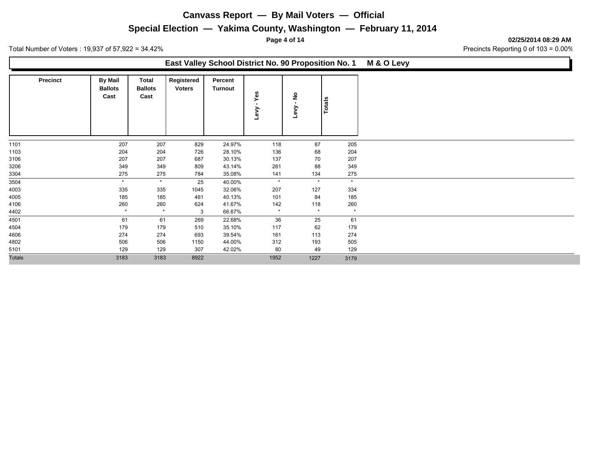## **Special Election — Yakima County, Washington — February 11, 2014**

**Page 4 of 14 02/25/2014 08:29 AM**

Total Number of Voters : 19,937 of 57,922 = 34.42% 2010 34.42% Precincts Reporting 0 of 103 = 0.00%

#### **East Valley School District No. 90 Proposition No. 1 M & O Levy**

|               | <b>Precinct</b> | <b>By Mail</b><br><b>Ballots</b><br>Cast | Total<br><b>Ballots</b><br>Cast | Registered<br><b>Voters</b> | Percent<br>Turnout | Yes<br>$\blacksquare$<br>Геv | $\epsilon$<br>Levy | Totals  |
|---------------|-----------------|------------------------------------------|---------------------------------|-----------------------------|--------------------|------------------------------|--------------------|---------|
| 1101          |                 | 207                                      | 207                             | 829                         | 24.97%             | 118                          | 87                 | 205     |
| 1103          |                 | 204                                      | 204                             | 726                         | 28.10%             | 136                          | 68                 | 204     |
| 3106          |                 | 207                                      | 207                             | 687                         | 30.13%             | 137                          | 70                 | 207     |
| 3206          |                 | 349                                      | 349                             | 809                         | 43.14%             | 261                          | 88                 | 349     |
| 3304          |                 | 275                                      | 275                             | 784                         | 35.08%             | 141                          | 134                | 275     |
| 3504          |                 | $\star$                                  | $\star$                         | 25                          | 40.00%             | $\star$                      | $\star$            | $\star$ |
| 4003          |                 | 335                                      | 335                             | 1045                        | 32.06%             | 207                          | 127                | 334     |
| 4005          |                 | 185                                      | 185                             | 461                         | 40.13%             | 101                          | 84                 | 185     |
| 4106          |                 | 260                                      | 260                             | 624                         | 41.67%             | 142                          | 118                | 260     |
| 4402          |                 | $\star$                                  | $\star$                         | 3                           | 66.67%             | $\star$                      | $\star$            | $\star$ |
| 4501          |                 | 61                                       | 61                              | 269                         | 22.68%             | 36                           | 25                 | 61      |
| 4504          |                 | 179                                      | 179                             | 510                         | 35.10%             | 117                          | 62                 | 179     |
| 4606          |                 | 274                                      | 274                             | 693                         | 39.54%             | 161                          | 113                | 274     |
| 4802          |                 | 506                                      | 506                             | 1150                        | 44.00%             | 312                          | 193                | 505     |
| 5101          |                 | 129                                      | 129                             | 307                         | 42.02%             | 80                           | 49                 | 129     |
| <b>Totals</b> |                 | 3183                                     | 3183                            | 8922                        |                    | 1952                         | 1227               | 3179    |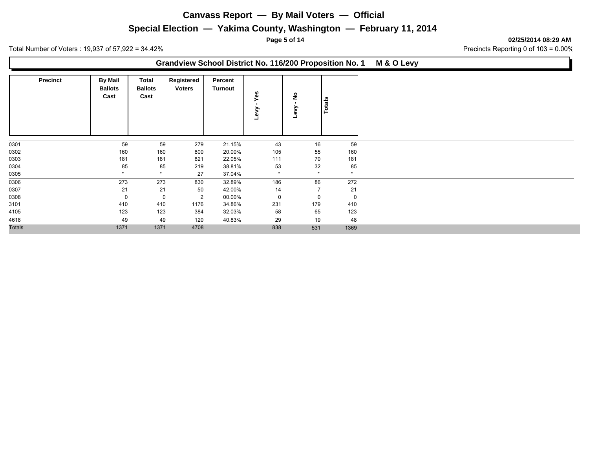## **Special Election — Yakima County, Washington — February 11, 2014**

**Page 5 of 14 02/25/2014 08:29 AM**

Total Number of Voters : 19,937 of 57,922 = 34.42% 2010 34.42% Precincts Reporting 0 of 103 = 0.00%

### **Grandview School District No. 116/200 Proposition No. 1 M & O Levy**

|               | <b>Precinct</b> | <b>By Mail</b><br><b>Ballots</b><br>Cast | Total<br><b>Ballots</b><br>Cast | Registered<br><b>Voters</b> | Percent<br>Turnout | Yes<br>≧<br>ڡٗ | ş<br>><br>٥<br>┙ | Totals  |
|---------------|-----------------|------------------------------------------|---------------------------------|-----------------------------|--------------------|----------------|------------------|---------|
| 0301          |                 | 59                                       | 59                              | 279                         | 21.15%             | 43             | 16               | 59      |
| 0302          |                 | 160                                      | 160                             | 800                         | 20.00%             | 105            | 55               | 160     |
| 0303          |                 | 181                                      | 181                             | 821                         | 22.05%             | 111            | 70               | 181     |
| 0304          |                 | 85                                       | 85                              | 219                         | 38.81%             | 53             | 32               | 85      |
| 0305          |                 | $\star$                                  | $\star$                         | 27                          | 37.04%             | $\star$        | $\star$          | $\star$ |
| 0306          |                 | 273                                      | 273                             | 830                         | 32.89%             | 186            | 86               | 272     |
| 0307          |                 | 21                                       | 21                              | 50                          | 42.00%             | 14             | $\overline{7}$   | 21      |
| 0308          |                 | 0                                        | $\mathbf 0$                     | 2                           | 00.00%             | $\mathbf 0$    | $\mathbf 0$      | 0       |
| 3101          |                 | 410                                      | 410                             | 1176                        | 34.86%             | 231            | 179              | 410     |
| 4105          |                 | 123                                      | 123                             | 384                         | 32.03%             | 58             | 65               | 123     |
| 4618          |                 | 49                                       | 49                              | 120                         | 40.83%             | 29             | 19               | 48      |
| <b>Totals</b> |                 | 1371                                     | 1371                            | 4708                        |                    | 838            | 531              | 1369    |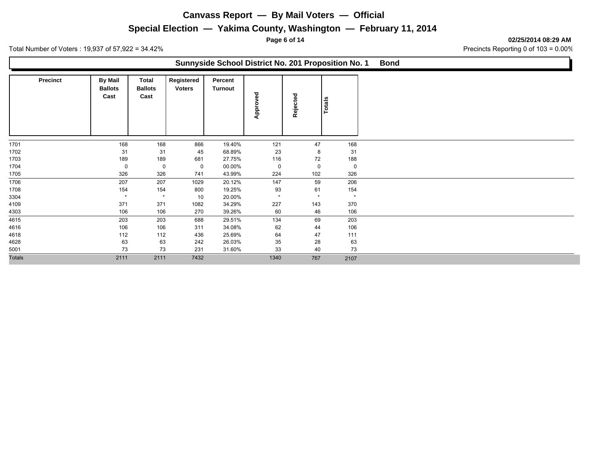## **Special Election — Yakima County, Washington — February 11, 2014**

**Page 6 of 14 02/25/2014 08:29 AM**

Total Number of Voters : 19,937 of 57,922 = 34.42% 2010 34.42% Precincts Reporting 0 of 103 = 0.00%

#### **Sunnyside School District No. 201 Proposition No. 1 Bond**

|               | <b>Precinct</b> | <b>By Mail</b><br><b>Ballots</b><br>Cast | <b>Total</b><br><b>Ballots</b><br>Cast | Registered<br><b>Voters</b> | Percent<br>Turnout | Approved | Rejected    | <b>Totals</b> |
|---------------|-----------------|------------------------------------------|----------------------------------------|-----------------------------|--------------------|----------|-------------|---------------|
| 1701          |                 | 168                                      | 168                                    | 866                         | 19.40%             | 121      | 47          | 168           |
| 1702          |                 | 31                                       | 31                                     | 45                          | 68.89%             | 23       | 8           | 31            |
| 1703          |                 | 189                                      | 189                                    | 681                         | 27.75%             | 116      | 72          | 188           |
| 1704          |                 | 0                                        | $\mathbf 0$                            | 0                           | 00.00%             | 0        | $\mathbf 0$ | 0             |
| 1705          |                 | 326                                      | 326                                    | 741                         | 43.99%             | 224      | 102         | 326           |
| 1706          |                 | 207                                      | 207                                    | 1029                        | 20.12%             | 147      | 59          | 206           |
| 1708          |                 | 154                                      | 154                                    | 800                         | 19.25%             | 93       | 61          | 154           |
| 3304          |                 | $\star$                                  | $\star$                                | 10                          | 20.00%             | $\star$  | $\star$     | $\star$       |
| 4109          |                 | 371                                      | 371                                    | 1082                        | 34.29%             | 227      | 143         | 370           |
| 4303          |                 | 106                                      | 106                                    | 270                         | 39.26%             | 60       | 46          | 106           |
| 4615          |                 | 203                                      | 203                                    | 688                         | 29.51%             | 134      | 69          | 203           |
| 4616          |                 | 106                                      | 106                                    | 311                         | 34.08%             | 62       | 44          | 106           |
| 4618          |                 | 112                                      | 112                                    | 436                         | 25.69%             | 64       | 47          | 111           |
| 4628          |                 | 63                                       | 63                                     | 242                         | 26.03%             | 35       | 28          | 63            |
| 5001          |                 | 73                                       | 73                                     | 231                         | 31.60%             | 33       | 40          | 73            |
| <b>Totals</b> |                 | 2111                                     | 2111                                   | 7432                        |                    | 1340     | 767         | 2107          |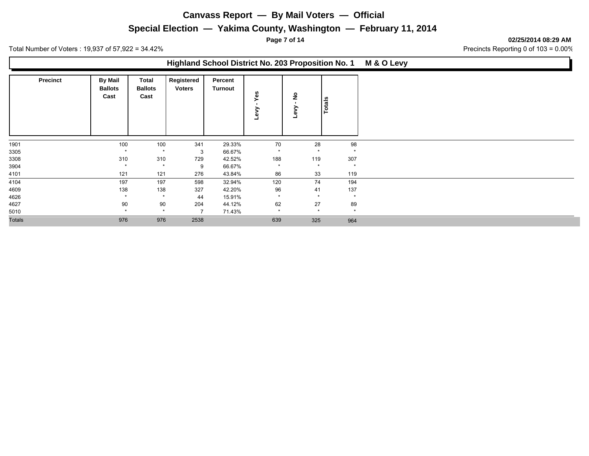## **Special Election — Yakima County, Washington — February 11, 2014**

**Page 7 of 14 02/25/2014 08:29 AM**

Total Number of Voters : 19,937 of 57,922 = 34.42% 2010 34.42% Precincts Reporting 0 of 103 = 0.00%

### **Highland School District No. 203 Proposition No. 1 M & O Levy**

|               | <b>Precinct</b> | <b>By Mail</b><br><b>Ballots</b><br>Cast | Total<br><b>Ballots</b><br>Cast | Registered<br><b>Voters</b> | Percent<br>Turnout | Yes<br>≩ | <u>ខ</u> | Totals  |
|---------------|-----------------|------------------------------------------|---------------------------------|-----------------------------|--------------------|----------|----------|---------|
| 1901          |                 | 100                                      | 100                             | 341                         | 29.33%             | 70       | 28       | 98      |
| 3305          |                 | $\star$                                  | $\star$                         | 3                           | 66.67%             | $\star$  | $\star$  | $\star$ |
| 3308          |                 | 310                                      | 310                             | 729                         | 42.52%             | 188      | 119      | 307     |
| 3904          |                 | $\star$                                  | $\star$                         | 9                           | 66.67%             | $\star$  | $\star$  | $\star$ |
| 4101          |                 | 121                                      | 121                             | 276                         | 43.84%             | 86       | 33       | 119     |
| 4104          |                 | 197                                      | 197                             | 598                         | 32.94%             | 120      | 74       | 194     |
| 4609          |                 | 138                                      | 138                             | 327                         | 42.20%             | 96       | 41       | 137     |
| 4626          |                 | $\star$                                  | $\star$                         | 44                          | 15.91%             | $\star$  | $\star$  | $\star$ |
| 4627          |                 | 90                                       | 90                              | 204                         | 44.12%             | 62       | 27       | 89      |
| 5010          |                 | $\star$                                  | $\star$                         |                             | 71.43%             | $\star$  | $\star$  | $\star$ |
| <b>Totals</b> |                 | 976                                      | 976                             | 2538                        |                    | 639      | 325      | 964     |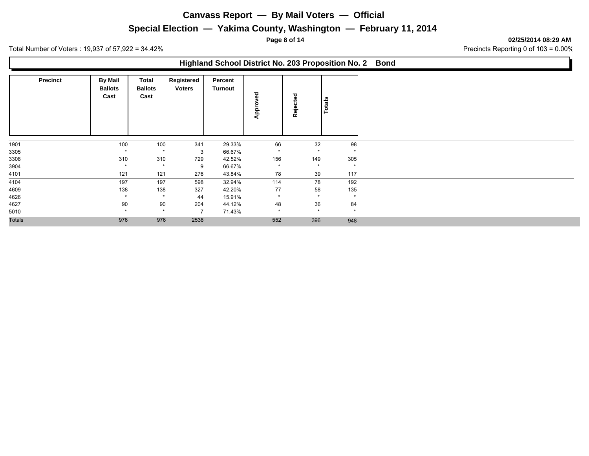## **Special Election — Yakima County, Washington — February 11, 2014**

**Page 8 of 14 02/25/2014 08:29 AM**

Total Number of Voters : 19,937 of 57,922 = 34.42% 2010 34.42% Precincts Reporting 0 of 103 = 0.00%

### **Highland School District No. 203 Proposition No. 2 Bond**

|               | <b>Precinct</b> | <b>By Mail</b><br><b>Ballots</b><br>Cast | Total<br><b>Ballots</b><br>Cast | Registered<br><b>Voters</b> | Percent<br>Turnout | ved<br>Appro | ठ<br>۵<br>$\ddot{\phantom{1}}$<br>Reje | Totals  |
|---------------|-----------------|------------------------------------------|---------------------------------|-----------------------------|--------------------|--------------|----------------------------------------|---------|
| 1901          |                 | 100                                      | 100                             | 341                         | 29.33%             | 66           | 32                                     | 98      |
| 3305          |                 | $\star$                                  | $\star$                         | 3                           | 66.67%             | $\star$      | $\star$                                | $\star$ |
| 3308          |                 | 310                                      | 310                             | 729                         | 42.52%             | 156          | 149                                    | 305     |
| 3904          |                 | $\star$                                  | $\star$                         | 9                           | 66.67%             | $\star$      | $\star$                                | $\star$ |
| 4101          |                 | 121                                      | 121                             | 276                         | 43.84%             | 78           | 39                                     | 117     |
| 4104          |                 | 197                                      | 197                             | 598                         | 32.94%             | 114          | 78                                     | 192     |
| 4609          |                 | 138                                      | 138                             | 327                         | 42.20%             | 77           | 58                                     | 135     |
| 4626          |                 | $\star$                                  | $\star$                         | 44                          | 15.91%             | $\star$      | $\star$                                | $\star$ |
| 4627          |                 | 90                                       | 90                              | 204                         | 44.12%             | 48           | 36                                     | 84      |
| 5010          |                 | $\star$                                  | $\star$                         | 7                           | 71.43%             | $\star$      | $\star$                                | $\star$ |
| <b>Totals</b> |                 | 976                                      | 976                             | 2538                        |                    | 552          | 396                                    | 948     |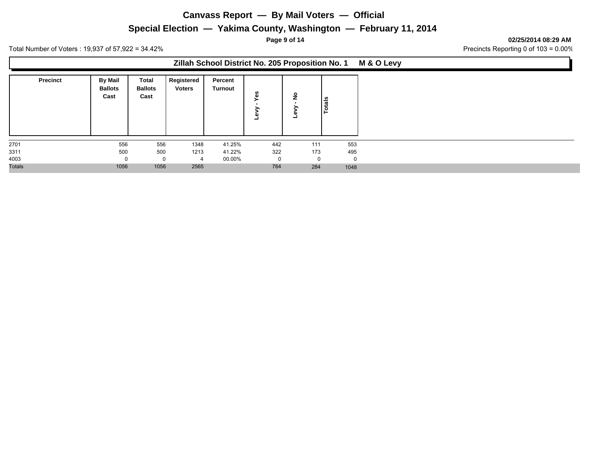## **Special Election — Yakima County, Washington — February 11, 2014**

**Page 9 of 14 02/25/2014 08:29 AM**

Total Number of Voters : 19,937 of 57,922 = 34.42% 2010 34.42% Precincts Reporting 0 of 103 = 0.00%

### **Zillah School District No. 205 Proposition No. 1 M & O Levy**

| <b>Precinct</b> | <b>By Mail</b><br><b>Ballots</b><br>Cast | Total<br><b>Ballots</b><br>Cast | Registered<br><b>Voters</b> | Percent<br>Turnout | <b>SG</b><br>ω<br>G) | $\circ$  | otals<br>► |
|-----------------|------------------------------------------|---------------------------------|-----------------------------|--------------------|----------------------|----------|------------|
| 2701            | 556                                      | 556                             | 1348                        | 41.25%             | 442                  | 111      | 553        |
| 3311            | 500                                      | 500                             | 1213                        | 41.22%             | 322                  | 173      | 495        |
| 4003            |                                          | 0                               | 4                           | 00.00%             |                      | $\Omega$ |            |
| <b>Totals</b>   | 1056                                     | 1056                            | 2565                        |                    | 764                  | 284      | 1048       |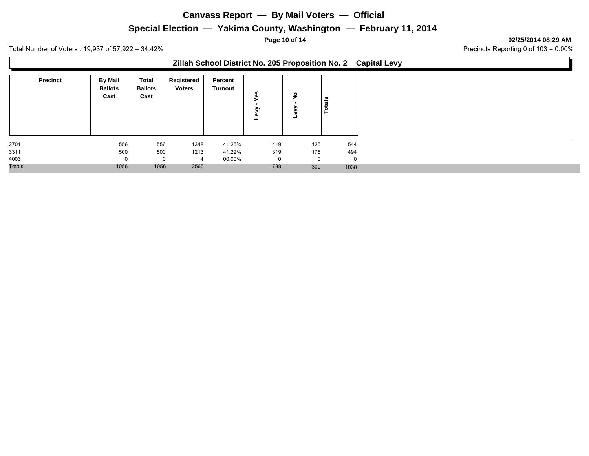## **Special Election — Yakima County, Washington — February 11, 2014**

**Page 10 of 14 02/25/2014 08:29 AM**

Total Number of Voters : 19,937 of 57,922 = 34.42% 2010 34.42% Precincts Reporting 0 of 103 = 0.00%

### **Zillah School District No. 205 Proposition No. 2 Capital Levy**

| <b>Precinct</b> | <b>By Mail</b><br><b>Ballots</b><br>Cast | Total<br><b>Ballots</b><br>Cast | Registered<br><b>Voters</b> | Percent<br><b>Turnout</b> | n<br>ω<br>л<br>- | o        | Totals   |
|-----------------|------------------------------------------|---------------------------------|-----------------------------|---------------------------|------------------|----------|----------|
| 2701            | 556                                      | 556                             | 1348                        | 41.25%                    | 419              | 125      | 544      |
| 3311            | 500                                      | 500                             | 1213                        | 41.22%                    | 319              | 175      | 494      |
| 4003            |                                          | 0                               | $\overline{4}$              | 00.00%                    | 0                | $\Omega$ | $\Omega$ |
| <b>Totals</b>   | 1056                                     | 1056                            | 2565                        |                           | 738              | 300      | 1038     |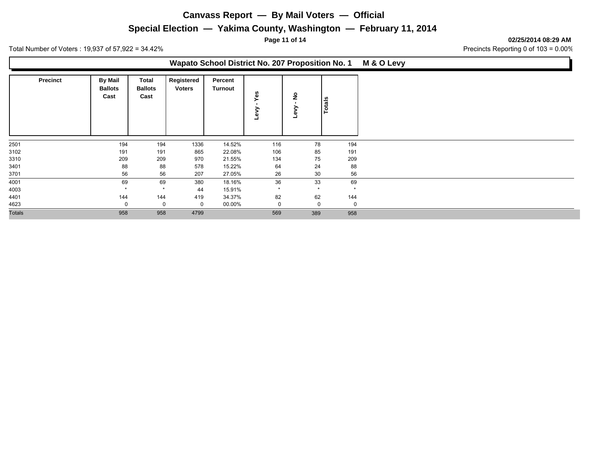## **Special Election — Yakima County, Washington — February 11, 2014**

**Page 11 of 14 02/25/2014 08:29 AM**

Total Number of Voters : 19,937 of 57,922 = 34.42% 2010 34.42% Precincts Reporting 0 of 103 = 0.00%

### **Wapato School District No. 207 Proposition No. 1 M & O Levy**

|               | <b>Precinct</b> | <b>By Mail</b><br><b>Ballots</b><br>Cast | Total<br><b>Ballots</b><br>Cast | Registered<br><b>Voters</b> | Percent<br>Turnout | ĜΘ      | ş<br>œ      | Totals      |
|---------------|-----------------|------------------------------------------|---------------------------------|-----------------------------|--------------------|---------|-------------|-------------|
| 2501          |                 | 194                                      | 194                             | 1336                        | 14.52%             | 116     | 78          | 194         |
| 3102          |                 | 191                                      | 191                             | 865                         | 22.08%             | 106     | 85          | 191         |
| 3310          |                 | 209                                      | 209                             | 970                         | 21.55%             | 134     | 75          | 209         |
| 3401          |                 | 88                                       | 88                              | 578                         | 15.22%             | 64      | 24          | 88          |
| 3701          |                 | 56                                       | 56                              | 207                         | 27.05%             | 26      | 30          | 56          |
| 4001          |                 | 69                                       | 69                              | 380                         | 18.16%             | 36      | 33          | 69          |
| 4003          |                 | $\star$                                  | $\star$                         | 44                          | 15.91%             | $\star$ | $\star$     | $\star$     |
| 4401          |                 | 144                                      | 144                             | 419                         | 34.37%             | 82      | 62          | 144         |
| 4623          |                 | 0                                        | 0                               | $\mathbf 0$                 | 00.00%             | 0       | $\mathbf 0$ | $\mathbf 0$ |
| <b>Totals</b> |                 | 958                                      | 958                             | 4799                        |                    | 569     | 389         | 958         |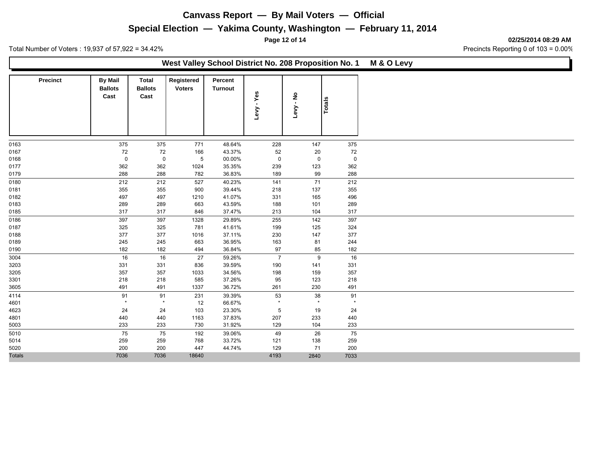## **Special Election — Yakima County, Washington — February 11, 2014**

**Page 12 of 14 02/25/2014 08:29 AM**

Total Number of Voters : 19,937 of 57,922 = 34.42% 2010 34.42% Precincts Reporting 0 of 103 = 0.00%

#### **West Valley School District No. 208 Proposition No. 1 M & O Levy**

| <b>Precinct</b> | <b>By Mail</b><br><b>Ballots</b><br>Cast | <b>Total</b><br><b>Ballots</b><br>Cast | Registered<br><b>Voters</b> | Percent<br>Turnout | Levy - Yes     | $\frac{9}{1}$<br>Levy | <b>Totals</b> |
|-----------------|------------------------------------------|----------------------------------------|-----------------------------|--------------------|----------------|-----------------------|---------------|
| 0163            | 375                                      | 375                                    | 771                         | 48.64%             | 228            | 147                   | 375           |
| 0167            | 72                                       | 72                                     | 166                         | 43.37%             | 52             | 20                    | 72            |
| 0168            | $\mathsf 0$                              | $\mathsf 0$                            | 5                           | 00.00%             | $\mathsf 0$    | $\mathbf 0$           | $\mathsf 0$   |
| 0177            | 362                                      | 362                                    | 1024                        | 35.35%             | 239            | 123                   | 362           |
| 0179            | 288                                      | 288                                    | 782                         | 36.83%             | 189            | 99                    | 288           |
| 0180            | 212                                      | 212                                    | 527                         | 40.23%             | 141            | 71                    | 212           |
| 0181            | 355                                      | 355                                    | 900                         | 39.44%             | 218            | 137                   | 355           |
| 0182            | 497                                      | 497                                    | 1210                        | 41.07%             | 331            | 165                   | 496           |
| 0183            | 289                                      | 289                                    | 663                         | 43.59%             | 188            | 101                   | 289           |
| 0185            | 317                                      | 317                                    | 846                         | 37.47%             | 213            | 104                   | 317           |
| 0186            | 397                                      | 397                                    | 1328                        | 29.89%             | 255            | 142                   | 397           |
| 0187            | 325                                      | 325                                    | 781                         | 41.61%             | 199            | 125                   | 324           |
| 0188            | 377                                      | 377                                    | 1016                        | 37.11%             | 230            | 147                   | 377           |
| 0189            | 245                                      | 245                                    | 663                         | 36.95%             | 163            | 81                    | 244           |
| 0190            | 182                                      | 182                                    | 494                         | 36.84%             | $97\,$         | 85                    | 182           |
| 3004            | 16                                       | 16                                     | 27                          | 59.26%             | $\overline{7}$ | 9                     | 16            |
| 3203            | 331                                      | 331                                    | 836                         | 39.59%             | 190            | 141                   | 331           |
| 3205            | 357                                      | 357                                    | 1033                        | 34.56%             | 198            | 159                   | 357           |
| 3301            | 218                                      | 218                                    | 585                         | 37.26%             | 95             | 123                   | 218           |
| 3605            | 491                                      | 491                                    | 1337                        | 36.72%             | 261            | 230                   | 491           |
| 4114            | 91                                       | 91                                     | 231                         | 39.39%             | 53             | 38                    | 91            |
| 4601            | $\star$                                  | $\star$                                | 12                          | 66.67%             | $\star$        | $\star$               | $\star$       |
| 4623            | 24                                       | 24                                     | 103                         | 23.30%             | $\sqrt{5}$     | 19                    | 24            |
| 4801            | 440                                      | 440                                    | 1163                        | 37.83%             | 207            | 233                   | 440           |
| 5003            | 233                                      | 233                                    | 730                         | 31.92%             | 129            | 104                   | 233           |
| 5010            | 75                                       | 75                                     | 192                         | 39.06%             | 49             | 26                    | 75            |
| 5014            | 259                                      | 259                                    | 768                         | 33.72%             | 121            | 138                   | 259           |
| 5020            | 200                                      | 200                                    | 447                         | 44.74%             | 129            | 71                    | 200           |
| <b>Totals</b>   | 7036                                     | 7036                                   | 18640                       |                    | 4193           | 2840                  | 7033          |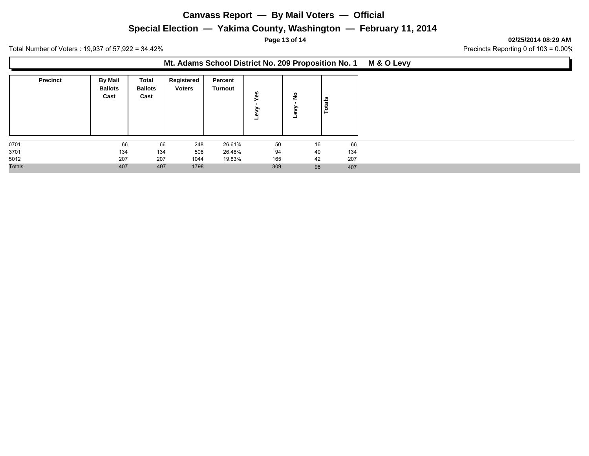## **Special Election — Yakima County, Washington — February 11, 2014**

**Page 13 of 14 02/25/2014 08:29 AM**

Total Number of Voters : 19,937 of 57,922 = 34.42% 2010 34.42% Precincts Reporting 0 of 103 = 0.00%

### **Mt. Adams School District No. 209 Proposition No. 1 M & O Levy**

| <b>Precinct</b> | <b>By Mail</b><br><b>Ballots</b><br>Cast | Total<br><b>Ballots</b><br>Cast | Registered<br><b>Voters</b> | Percent<br>Turnout | w<br>ω<br>۰ | <u>و</u><br>- | otals<br>► |
|-----------------|------------------------------------------|---------------------------------|-----------------------------|--------------------|-------------|---------------|------------|
| 0701            | 66                                       | 66                              | 248                         | 26.61%             | 50          | 16            | 66         |
| 3701            | 134                                      | 134                             | 506                         | 26.48%             | 94          | 40            | 134        |
| 5012            | 207                                      | 207                             | 1044                        | 19.83%             | 165         | 42            | 207        |
| <b>Totals</b>   | 407                                      | 407                             | 1798                        |                    | 309         | 98            | 407        |